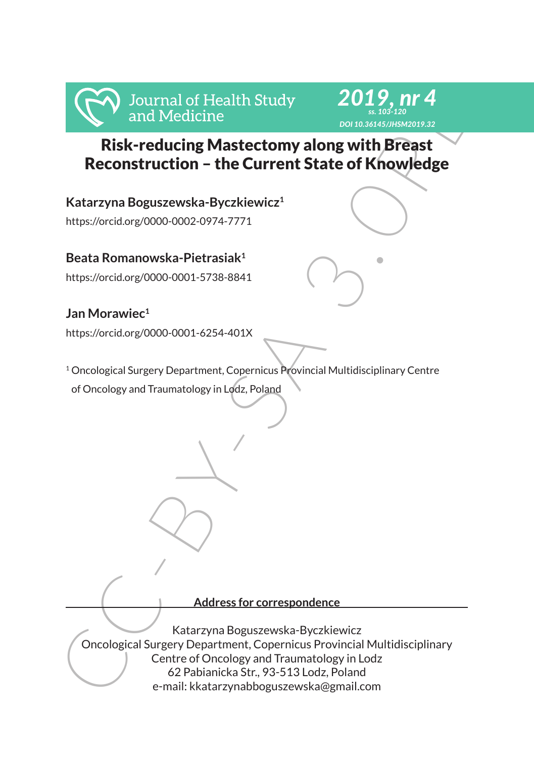

*2019, nr 4 ss. 103-120*

**Katarzyna Boguszewska-Byczkiewicz1** https://orcid.org/0000-0002-0974-7771

**Beata Romanowska-Pietrasiak1**

https://orcid.org/0000-0001-5738-8841

## **Jan Morawiec1**

https://orcid.org/0000-0001-6254-401X

<sup>1</sup> Oncological Surgery Department, Copernicus Provincial Multidisciplinary Centre of Oncology and Traumatology in Lodz, Poland

#### **Address for correspondence**

Manuforce and Medicine<br>
Risk-reducing Mastectomy along with Breast<br>
Reconstruction - the Current State of Knowledge<br>
Katarzyna Boguszewska-Byczkiewicz<br>
Https://orcidorg/000-0002-0974-7771<br>
Beata Romanowska-Pietrasiak<sup>1</sup><br>
h Katarzyna Boguszewska-Byczkiewicz Oncological Surgery Department, Copernicus Provincial Multidisciplinary Centre of Oncology and Traumatology in Lodz 62 Pabianicka Str., 93-513 Lodz, Poland e-mail: kkatarzynabboguszewska@gmail.com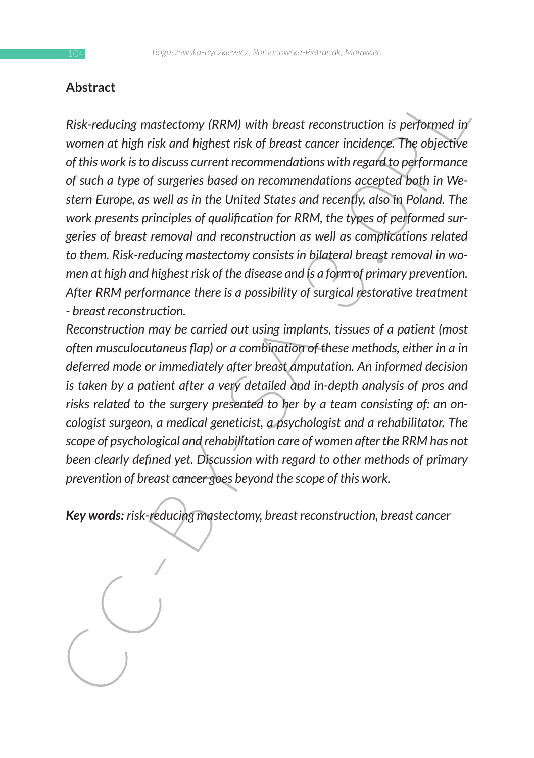### **Abstract**

First-reducting master. This wind the meast reconstruction is performed in<br>
Nisk-reducing master. The bight is and highest risk of breast cancer incidency. The objective<br>
of this work is to discuss current recommendations *Risk-reducing mastectomy (RRM) with breast reconstruction is performed in women at high risk and highest risk of breast cancer incidence. The objective of this work is to discuss current recommendations with regard to performance of such a type of surgeries based on recommendations accepted both in Western Europe, as well as in the United States and recently, also in Poland. The work presents principles of qualification for RRM, the types of performed surgeries of breast removal and reconstruction as well as complications related to them. Risk-reducing mastectomy consists in bilateral breast removal in women at high and highest risk of the disease and is a form of primary prevention. After RRM performance there is a possibility of surgical restorative treatment - breast reconstruction.*

*Reconstruction may be carried out using implants, tissues of a patient (most often musculocutaneus flap) or a combination of these methods, either in a in deferred mode or immediately after breast amputation. An informed decision is taken by a patient after a very detailed and in-depth analysis of pros and risks related to the surgery presented to her by a team consisting of: an oncologist surgeon, a medical geneticist, a psychologist and a rehabilitator. The scope of psychological and rehabilitation care of women after the RRM has not been clearly defined yet. Discussion with regard to other methods of primary prevention of breast cancer goes beyond the scope of this work.*

*Key words: risk-reducing mastectomy, breast reconstruction, breast cancer*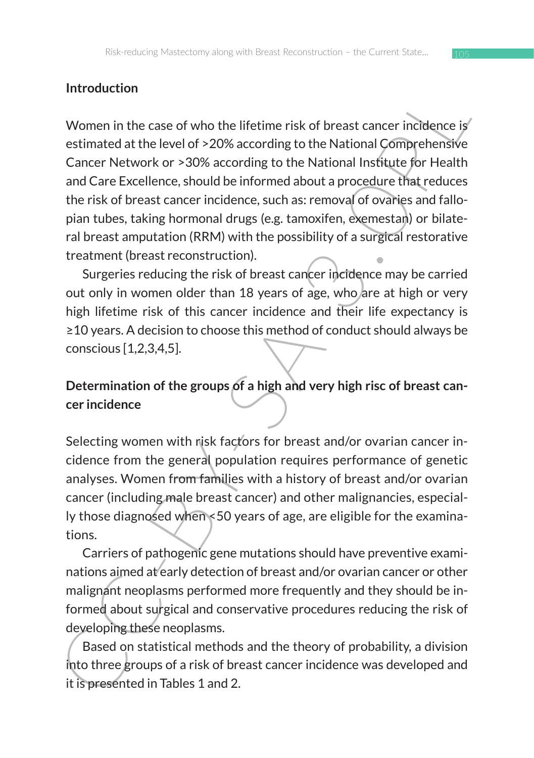## **Introduction**

Introduction<br>
Women in the case of who the lifetime risk of breast cancer indidence is<br>
extimated at the level of >20% according to the National Comprehensive<br>
Cancer Network or >30% according to the National Institute for Women in the case of who the lifetime risk of breast cancer incidence is estimated at the level of >20% according to the National Comprehensive Cancer Network or >30% according to the National Institute for Health and Care Excellence, should be informed about a procedure that reduces the risk of breast cancer incidence, such as: removal of ovaries and fallopian tubes, taking hormonal drugs (e.g. tamoxifen, exemestan) or bilateral breast amputation (RRM) with the possibility of a surgical restorative treatment (breast reconstruction).

Surgeries reducing the risk of breast cancer incidence may be carried out only in women older than 18 years of age, who are at high or very high lifetime risk of this cancer incidence and their life expectancy is ≥10 years. A decision to choose this method of conduct should always be conscious [1,2,3,4,5].

# **Determination of the groups of a high and very high risc of breast cancer incidence**

Selecting women with risk factors for breast and/or ovarian cancer incidence from the general population requires performance of genetic analyses. Women from families with a history of breast and/or ovarian cancer (including male breast cancer) and other malignancies, especially those diagnosed when <50 years of age, are eligible for the examinations.

Carriers of pathogenic gene mutations should have preventive examinations aimed at early detection of breast and/or ovarian cancer or other malignant neoplasms performed more frequently and they should be informed about surgical and conservative procedures reducing the risk of developing these neoplasms.

Based on statistical methods and the theory of probability, a division into three groups of a risk of breast cancer incidence was developed and it is presented in Tables 1 and 2.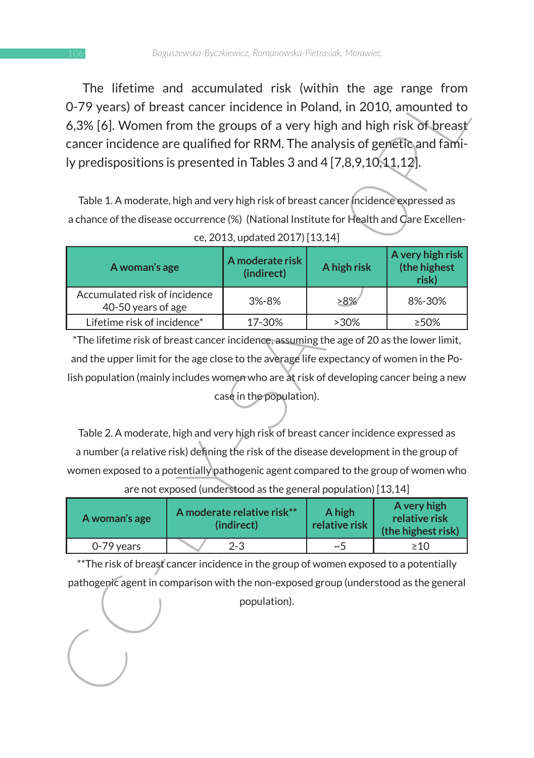The lifetime and accumulated risk (within the age range from 0-79 years) of breast cancer incidence in Poland, in 2010, amounted to 6,3% [6]. Women from the groups of a very high and high risk of breast cancer incidence are qualified for RRM. The analysis of genetic and family predispositions is presented in Tables 3 and 4 [7,8,9,10,11,12].

| 0-79 years) of breast cancer incidence in Poland, in 2010, amounted to<br>6,3% [6]. Women from the groups of a very high and high risk of breast<br>cancer incidence are qualified for RRM. The analysis of genetic and fami-<br>ly predispositions is presented in Tables 3 and 4 [7,8,9,10,11,12]. |  |                                                                |                         | The illetime and accumulated risk (within the age range from |  |
|------------------------------------------------------------------------------------------------------------------------------------------------------------------------------------------------------------------------------------------------------------------------------------------------------|--|----------------------------------------------------------------|-------------------------|--------------------------------------------------------------|--|
| Table 1. A moderate, high and very high risk of breast cancer incidence expressed as<br>a chance of the disease occurrence (%) (National Institute for Health and Care Excellen-<br>ce, 2013, updated 2017) [13,14]                                                                                  |  |                                                                |                         |                                                              |  |
| A woman's age                                                                                                                                                                                                                                                                                        |  | A moderate risk<br>(indirect)                                  | A high risk             | A very high risk<br>(the highest<br>risk)                    |  |
| Accumulated risk of incidence<br>40-50 years of age                                                                                                                                                                                                                                                  |  | 3%-8%                                                          | >8%                     | 8%-30%                                                       |  |
| Lifetime risk of incidence*                                                                                                                                                                                                                                                                          |  | 17-30%                                                         | >30%                    | ≥50%                                                         |  |
| *The lifetime risk of breast cancer incidence, assuming the age of 20 as the lower limit,                                                                                                                                                                                                            |  |                                                                |                         |                                                              |  |
| and the upper limit for the age close to the average life expectancy of women in the Po-                                                                                                                                                                                                             |  |                                                                |                         |                                                              |  |
| lish population (mainly includes women who are at risk of developing cancer being a new                                                                                                                                                                                                              |  |                                                                |                         |                                                              |  |
| case in the population).                                                                                                                                                                                                                                                                             |  |                                                                |                         |                                                              |  |
| Table 2. A moderate, high and very high risk of breast cancer incidence expressed as                                                                                                                                                                                                                 |  |                                                                |                         |                                                              |  |
| a number (a relative risk) defining the risk of the disease development in the group of                                                                                                                                                                                                              |  |                                                                |                         |                                                              |  |
| women exposed to a potentially pathogenic agent compared to the group of women who                                                                                                                                                                                                                   |  |                                                                |                         |                                                              |  |
|                                                                                                                                                                                                                                                                                                      |  | are not exposed (understood as the general population) [13,14] |                         |                                                              |  |
| A woman's age                                                                                                                                                                                                                                                                                        |  | A moderate relative risk**<br>(indirect)                       | A high<br>relative risk | A very high<br>relative risk<br>(the highest risk)           |  |
| 0-79 years                                                                                                                                                                                                                                                                                           |  | 2-3                                                            | $\sim\!5$               | $\geq 10$                                                    |  |
| ** The risk of breast cancer incidence in the group of women exposed to a potentially                                                                                                                                                                                                                |  |                                                                |                         |                                                              |  |
| pathogenic agent in comparison with the non-exposed group (understood as the general                                                                                                                                                                                                                 |  |                                                                |                         |                                                              |  |
|                                                                                                                                                                                                                                                                                                      |  | population).                                                   |                         |                                                              |  |
|                                                                                                                                                                                                                                                                                                      |  |                                                                |                         |                                                              |  |

| A woman's age | A moderate relative risk**<br>(indirect) | A high<br>relative risk | A very high<br>relative risk<br>(the highest risk) |
|---------------|------------------------------------------|-------------------------|----------------------------------------------------|
| 0-79 years    | $2 - 3$                                  | ~1~                     | $\geq 10$                                          |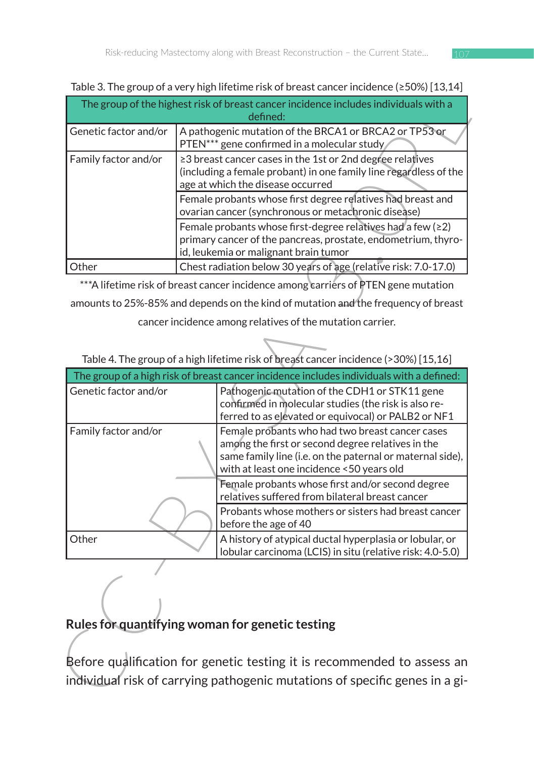| The group of the highest risk of breast cancer incidence includes individuals with a<br>defined: |                                                                                                                                                                         |  |  |  |
|--------------------------------------------------------------------------------------------------|-------------------------------------------------------------------------------------------------------------------------------------------------------------------------|--|--|--|
| Genetic factor and/or                                                                            | A pathogenic mutation of the BRCA1 or BRCA2 or TP53 or<br>PTEN*** gene confirmed in a molecular study                                                                   |  |  |  |
| Family factor and/or                                                                             | ≥3 breast cancer cases in the 1st or 2nd degree relatives<br>(including a female probant) in one family line regardless of the<br>age at which the disease occurred     |  |  |  |
|                                                                                                  | Female probants whose first degree relatives had breast and<br>ovarian cancer (synchronous or metachronic disease)                                                      |  |  |  |
|                                                                                                  | Female probants whose first-degree relatives had a few $(22)$<br>primary cancer of the pancreas, prostate, endometrium, thyro-<br>id, leukemia or malignant brain tumor |  |  |  |
| Other                                                                                            | Chest radiation below 30 years of age (relative risk: 7.0-17.0)                                                                                                         |  |  |  |

Table 3. The group of a very high lifetime risk of breast cancer incidence (≥50%) [13,14]

|                       |                                                                                                                    | The group of the highest risk of breast cancer incidence includes individuals with a                   |  |
|-----------------------|--------------------------------------------------------------------------------------------------------------------|--------------------------------------------------------------------------------------------------------|--|
|                       |                                                                                                                    | defined:                                                                                               |  |
| Genetic factor and/or | A pathogenic mutation of the BRCA1 or BRCA2 or TP53 or<br>PTEN*** gene confirmed in a molecular study              |                                                                                                        |  |
| Family factor and/or  | ≥3 breast cancer cases in the 1st or 2nd degree relatives                                                          |                                                                                                        |  |
|                       | (including a female probant) in one family line regardless of the                                                  |                                                                                                        |  |
|                       | age at which the disease occurred                                                                                  |                                                                                                        |  |
|                       | Female probants whose first degree relatives had breast and<br>ovarian cancer (synchronous or metachronic disease) |                                                                                                        |  |
|                       | Female probants whose first-degree relatives had a few (≥2)                                                        |                                                                                                        |  |
|                       |                                                                                                                    | primary cancer of the pancreas, prostate, endometrium, thyro-<br>id, leukemia or malignant brain tumor |  |
| Other                 |                                                                                                                    | Chest radiation below 30 years of age (relative risk: 7.0-17.0)                                        |  |
|                       |                                                                                                                    |                                                                                                        |  |
|                       |                                                                                                                    | *** A lifetime risk of breast cancer incidence among carriers of PTEN gene mutation                    |  |
|                       |                                                                                                                    | amounts to 25%-85% and depends on the kind of mutation and the frequency of breast                     |  |
|                       |                                                                                                                    | cancer incidence among relatives of the mutation carrier.                                              |  |
|                       |                                                                                                                    |                                                                                                        |  |
|                       |                                                                                                                    | Table 4. The group of a high lifetime risk of breast cancer incidence (>30%) [15,16]                   |  |
|                       |                                                                                                                    | The group of a high risk of breast cancer incidence includes individuals with a defined:               |  |
| Genetic factor and/or |                                                                                                                    | Pathogenic mutation of the CDH1 or STK11 gene                                                          |  |
|                       |                                                                                                                    | confirmed in molecular studies (the risk is also re-                                                   |  |
|                       |                                                                                                                    | ferred to as elevated or equivocal) or PALB2 or NF1                                                    |  |
| Family factor and/or  |                                                                                                                    | Female probants who had two breast cancer cases<br>among the first or second degree relatives in the   |  |
|                       |                                                                                                                    | same family line (i.e. on the paternal or maternal side),                                              |  |
|                       |                                                                                                                    | with at least one incidence <50 years old                                                              |  |
|                       |                                                                                                                    | Female probants whose first and/or second degree                                                       |  |
|                       |                                                                                                                    | relatives suffered from bilateral breast cancer                                                        |  |
|                       |                                                                                                                    | Probants whose mothers or sisters had breast cancer                                                    |  |
|                       |                                                                                                                    | before the age of 40                                                                                   |  |
| Other                 |                                                                                                                    | A history of atypical ductal hyperplasia or lobular, or                                                |  |
|                       |                                                                                                                    |                                                                                                        |  |
|                       |                                                                                                                    | lobular carcinoma (LCIS) in situ (relative risk: 4.0-5.0)                                              |  |
|                       |                                                                                                                    |                                                                                                        |  |
|                       |                                                                                                                    |                                                                                                        |  |
|                       |                                                                                                                    |                                                                                                        |  |
|                       |                                                                                                                    |                                                                                                        |  |
|                       |                                                                                                                    | Rules for quantifying woman for genetic testing                                                        |  |
|                       |                                                                                                                    |                                                                                                        |  |
|                       |                                                                                                                    | Before qualification for genetic testing it is recommended to assess an                                |  |
|                       |                                                                                                                    | individual risk of carrying pathogenic mutations of specific genes in a gi-                            |  |

# **Rules for quantifying woman for genetic testing**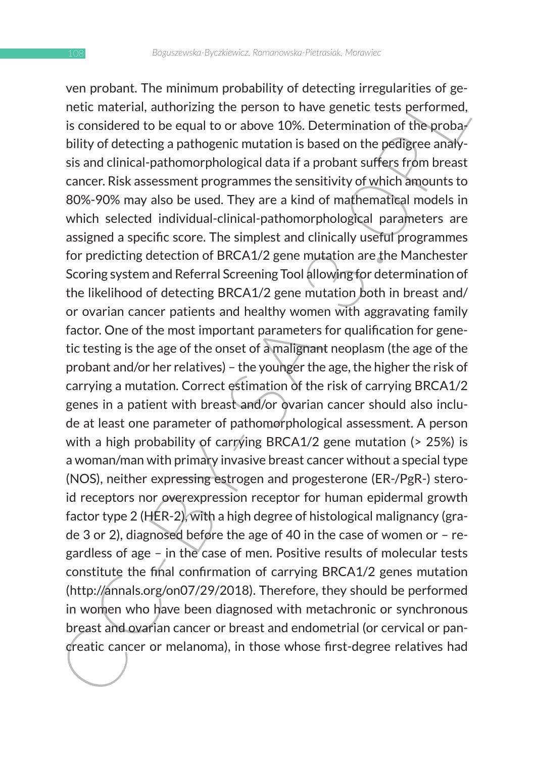very powart. The minimum probability of detecting regularities of generation and product in the medical considered to be equal to or above 10%. Determination of the probady bility of detecting a pathogenic mutation is bas ven probant. The minimum probability of detecting irregularities of genetic material, authorizing the person to have genetic tests performed, is considered to be equal to or above 10%. Determination of the probability of detecting a pathogenic mutation is based on the pedigree analysis and clinical-pathomorphological data if a probant suffers from breast cancer. Risk assessment programmes the sensitivity of which amounts to 80%-90% may also be used. They are a kind of mathematical models in which selected individual-clinical-pathomorphological parameters are assigned a specific score. The simplest and clinically useful programmes for predicting detection of BRCA1/2 gene mutation are the Manchester Scoring system and Referral Screening Tool allowing for determination of the likelihood of detecting BRCA1/2 gene mutation both in breast and/ or ovarian cancer patients and healthy women with aggravating family factor. One of the most important parameters for qualification for genetic testing is the age of the onset of a malignant neoplasm (the age of the probant and/or her relatives) – the younger the age, the higher the risk of carrying a mutation. Correct estimation of the risk of carrying BRCA1/2 genes in a patient with breast and/or ovarian cancer should also include at least one parameter of pathomorphological assessment. A person with a high probability of carrying BRCA1/2 gene mutation (> 25%) is a woman/man with primary invasive breast cancer without a special type (NOS), neither expressing estrogen and progesterone (ER-/PgR-) steroid receptors nor overexpression receptor for human epidermal growth factor type 2 (HER-2), with a high degree of histological malignancy (grade 3 or 2), diagnosed before the age of 40 in the case of women or – regardless of age – in the case of men. Positive results of molecular tests constitute the final confirmation of carrying BRCA1/2 genes mutation (http://annals.org/on07/29/2018). Therefore, they should be performed in women who have been diagnosed with metachronic or synchronous breast and ovarian cancer or breast and endometrial (or cervical or pancreatic cancer or melanoma), in those whose first-degree relatives had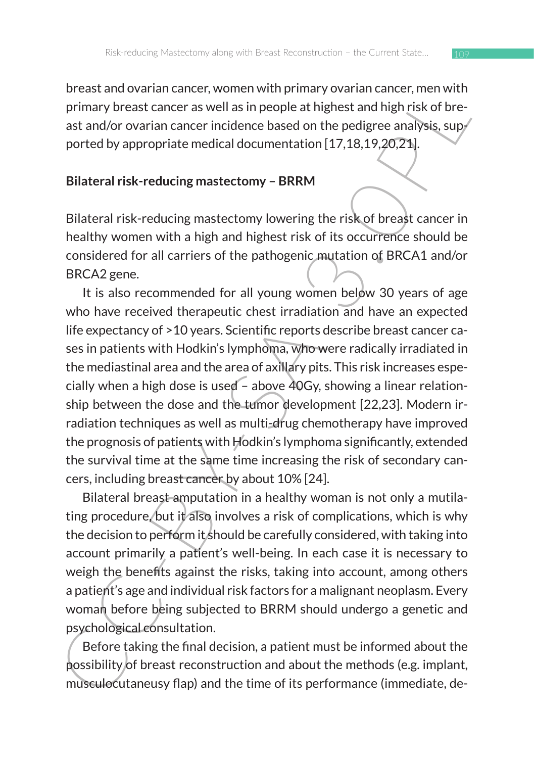breast and ovarian cancer, women with primary ovarian cancer, men with primary breast cancer as well as in people at highest and high risk of breast and/or ovarian cancer incidence based on the pedigree analysis, supported by appropriate medical documentation [17,18,19,20,21].

### **Bilateral risk-reducing mastectomy – BRRM**

Bilateral risk-reducing mastectomy lowering the risk of breast cancer in healthy women with a high and highest risk of its occurrence should be considered for all carriers of the pathogenic mutation of BRCA1 and/or BRCA2 gene.

besta and owarial culter, women with primary beast and event with primary breast cancer as well as in people at highest and high risk of breast and/or ovarian cancer incidence based on the pedigree analysis, supported by a It is also recommended for all young women below 30 years of age who have received therapeutic chest irradiation and have an expected life expectancy of >10 years. Scientific reports describe breast cancer cases in patients with Hodkin's lymphoma, who were radically irradiated in the mediastinal area and the area of axillary pits. This risk increases especially when a high dose is used – above 40Gy, showing a linear relationship between the dose and the tumor development [22,23]. Modern irradiation techniques as well as multi-drug chemotherapy have improved the prognosis of patients with Hodkin's lymphoma significantly, extended the survival time at the same time increasing the risk of secondary cancers, including breast cancer by about 10% [24].

Bilateral breast amputation in a healthy woman is not only a mutilating procedure, but it also involves a risk of complications, which is why the decision to perform it should be carefully considered, with taking into account primarily a patient's well-being. In each case it is necessary to weigh the benefits against the risks, taking into account, among others a patient's age and individual risk factors for a malignant neoplasm. Every woman before being subjected to BRRM should undergo a genetic and psychological consultation.

Before taking the final decision, a patient must be informed about the possibility of breast reconstruction and about the methods (e.g. implant, musculocutaneusy flap) and the time of its performance (immediate, de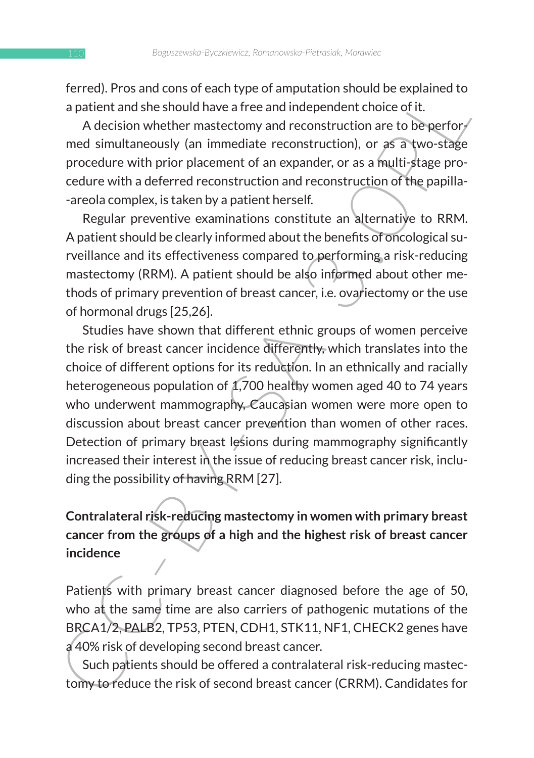ferred). Pros and cons of each type of amputation should be explained to a patient and she should have a free and independent choice of it.

A decision whether mastectomy and reconstruction are to be performed simultaneously (an immediate reconstruction), or as a two-stage procedure with prior placement of an expander, or as a multi-stage procedure with a deferred reconstruction and reconstruction of the papilla- -areola complex, is taken by a patient herself.

Regular preventive examinations constitute an alternative to RRM. A patient should be clearly informed about the benefits of oncological surveillance and its effectiveness compared to performing a risk-reducing mastectomy (RRM). A patient should be also informed about other methods of primary prevention of breast cancer, i.e. ovariectomy or the use of hormonal drugs [25,26].

ierreu, Pros and Cous or each type of a miputation should be expanded the set of Beneficial and construction and the decision whether mastectomy and reconstruction) are to be performed simultaneously (an inmediate reconstr Studies have shown that different ethnic groups of women perceive the risk of breast cancer incidence differently, which translates into the choice of different options for its reduction. In an ethnically and racially heterogeneous population of 1,700 healthy women aged 40 to 74 years who underwent mammography, Caucasian women were more open to discussion about breast cancer prevention than women of other races. Detection of primary breast lesions during mammography significantly increased their interest in the issue of reducing breast cancer risk, including the possibility of having RRM [27].

# **Contralateral risk-reducing mastectomy in women with primary breast cancer from the groups of a high and the highest risk of breast cancer incidence**

Patients with primary breast cancer diagnosed before the age of 50, who at the same time are also carriers of pathogenic mutations of the BRCA1/2, PALB2, TP53, PTEN, CDH1, STK11, NF1, CHECK2 genes have a 40% risk of developing second breast cancer.

Such patients should be offered a contralateral risk-reducing mastectomy to reduce the risk of second breast cancer (CRRM). Candidates for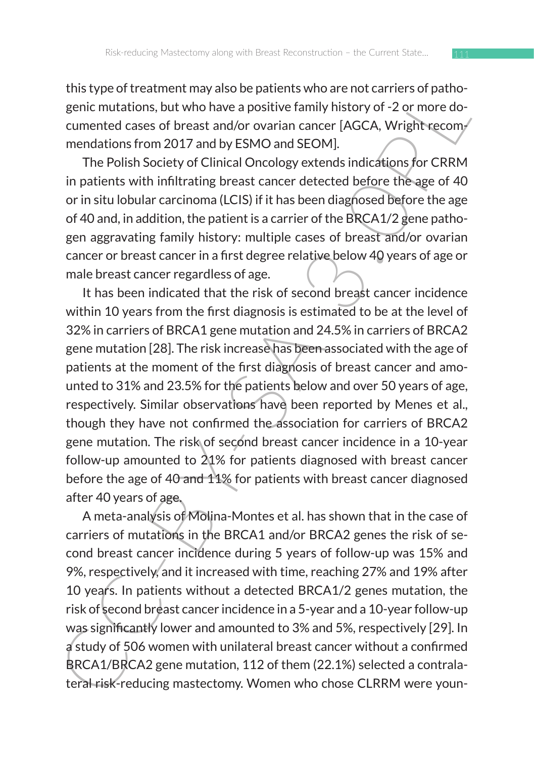this type of treatment may also be patients who are not carriers of pathogenic mutations, but who have a positive family history of -2 or more documented cases of breast and/or ovarian cancer [AGCA, Wright recommendations from 2017 and by ESMO and SEOM].

The Polish Society of Clinical Oncology extends indications for CRRM in patients with infiltrating breast cancer detected before the age of 40 or in situ lobular carcinoma (LCIS) if it has been diagnosed before the age of 40 and, in addition, the patient is a carrier of the BRCA1/2 gene pathogen aggravating family history: multiple cases of breast and/or ovarian cancer or breast cancer in a first degree relative below 40 years of age or male breast cancer regardless of age.

usiv pe ou treatment may also to planetts wind a renote that is performed to the genic mutations, but who have a positive family history of -2 or more documented cases of breast and/or ovarian cancer [AGCA, Wright eccommen It has been indicated that the risk of second breast cancer incidence within 10 years from the first diagnosis is estimated to be at the level of 32% in carriers of BRCA1 gene mutation and 24.5% in carriers of BRCA2 gene mutation [28]. The risk increase has been associated with the age of patients at the moment of the first diagnosis of breast cancer and amounted to 31% and 23.5% for the patients below and over 50 years of age, respectively. Similar observations have been reported by Menes et al., though they have not confirmed the association for carriers of BRCA2 gene mutation. The risk of second breast cancer incidence in a 10-year follow-up amounted to 21% for patients diagnosed with breast cancer before the age of 40 and 11% for patients with breast cancer diagnosed after 40 years of age.

A meta-analysis of Molina-Montes et al. has shown that in the case of carriers of mutations in the BRCA1 and/or BRCA2 genes the risk of second breast cancer incidence during 5 years of follow-up was 15% and 9%, respectively, and it increased with time, reaching 27% and 19% after 10 years. In patients without a detected BRCA1/2 genes mutation, the risk of second breast cancer incidence in a 5-year and a 10-year follow-up was significantly lower and amounted to 3% and 5%, respectively [29]. In a study of 506 women with unilateral breast cancer without a confirmed BRCA1/BRCA2 gene mutation, 112 of them (22.1%) selected a contralateral risk-reducing mastectomy. Women who chose CLRRM were youn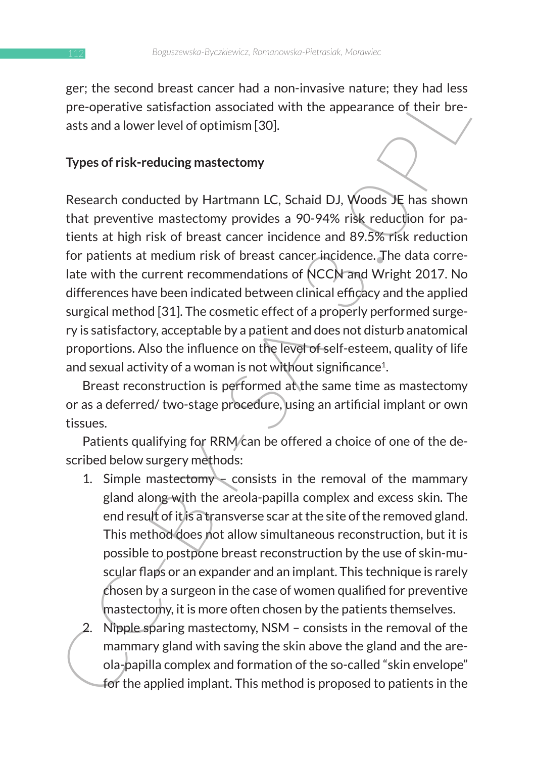ger; the second breast cancer had a non-invasive nature; they had less pre-operative satisfaction associated with the appearance of their breasts and a lower level of optimism [30].

#### **Types of risk-reducing mastectomy**

er, the sector<br>of the appearance in a non-invasive induction associated with the appearance of their bre-<br>pre-operative satisfaction associated with the appearance of their bre-<br>asts and a lower level of optimism [30].<br> **T** Research conducted by Hartmann LC, Schaid DJ, Woods JE has shown that preventive mastectomy provides a 90-94% risk reduction for patients at high risk of breast cancer incidence and 89.5% risk reduction for patients at medium risk of breast cancer incidence. The data correlate with the current recommendations of NCCN and Wright 2017. No differences have been indicated between clinical efficacy and the applied surgical method [31]. The cosmetic effect of a properly performed surgery is satisfactory, acceptable by a patient and does not disturb anatomical proportions. Also the influence on the level of self-esteem, quality of life and sexual activity of a woman is not without significance<sup>1</sup>.

Breast reconstruction is performed at the same time as mastectomy or as a deferred/ two-stage procedure, using an artificial implant or own tissues.

Patients qualifying for RRM/can be offered a choice of one of the described below surgery methods:

- 1. Simple mastectomy  $\sim$  consists in the removal of the mammary gland along with the areola-papilla complex and excess skin. The end result of it is a transverse scar at the site of the removed gland. This method does not allow simultaneous reconstruction, but it is possible to postpone breast reconstruction by the use of skin-muscular flaps or an expander and an implant. This technique is rarely chosen by a surgeon in the case of women qualified for preventive mastectomy, it is more often chosen by the patients themselves.
- 2. Nipple sparing mastectomy, NSM consists in the removal of the mammary gland with saving the skin above the gland and the areola-papilla complex and formation of the so-called "skin envelope" for the applied implant. This method is proposed to patients in the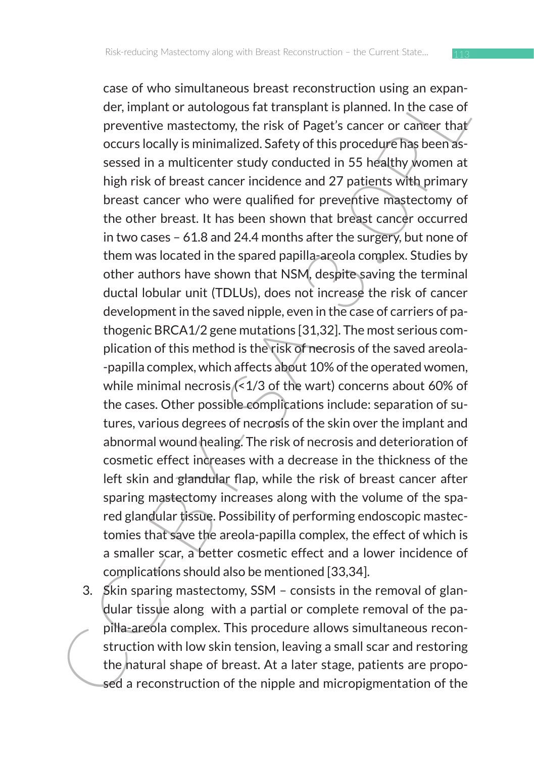Less to wind simulations breast reconsitiontion is in gain explained. In the case of preparition is the case of preventive mate<br>tectomy, the risk of Paget's cancer or cancer that occurs locally is minimizized.<br>Sately of th case of who simultaneous breast reconstruction using an expander, implant or autologous fat transplant is planned. In the case of preventive mastectomy, the risk of Paget's cancer or cancer that occurs locally is minimalized. Safety of this procedure has been assessed in a multicenter study conducted in 55 healthy women at high risk of breast cancer incidence and 27 patients with primary breast cancer who were qualified for preventive mastectomy of the other breast. It has been shown that breast cancer occurred in two cases – 61.8 and 24.4 months after the surgery, but none of them was located in the spared papilla-areola complex. Studies by other authors have shown that NSM, despite saving the terminal ductal lobular unit (TDLUs), does not increase the risk of cancer development in the saved nipple, even in the case of carriers of pathogenic BRCA1/2 gene mutations [31,32]. The most serious complication of this method is the risk of necrosis of the saved areola- -papilla complex, which affects about 10% of the operated women, while minimal necrosis (<1/3 of the wart) concerns about 60% of the cases. Other possible complications include: separation of sutures, various degrees of necrosis of the skin over the implant and abnormal wound healing. The risk of necrosis and deterioration of cosmetic effect increases with a decrease in the thickness of the left skin and glandular flap, while the risk of breast cancer after sparing mastectomy increases along with the volume of the spared glandular tissue. Possibility of performing endoscopic mastectomies that save the areola-papilla complex, the effect of which is a smaller scar, a better cosmetic effect and a lower incidence of complications should also be mentioned [33,34].

3. Skin sparing mastectomy, SSM – consists in the removal of glandular tissue along with a partial or complete removal of the papilla-areola complex. This procedure allows simultaneous reconstruction with low skin tension, leaving a small scar and restoring the natural shape of breast. At a later stage, patients are proposed a reconstruction of the nipple and micropigmentation of the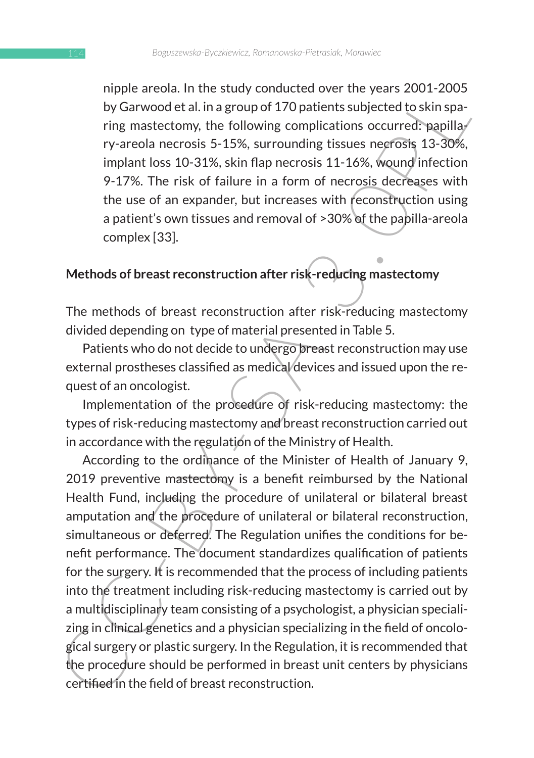nipple areola. In the study conducted over the years 2001-2005 by Garwood et al. in a group of 170 patients subjected to skin sparing mastectomy, the following complications occurred: papilla $/$ ry-areola necrosis 5-15%, surrounding tissues necrosis 13-30%, implant loss 10-31%, skin flap necrosis 11-16%, wound infection 9-17%. The risk of failure in a form of necrosis decreases with the use of an expander, but increases with reconstruction using a patient's own tissues and removal of >30% of the papilla-areola complex [33].

### **Methods of breast reconstruction after risk-reducing mastectomy**

The methods of breast reconstruction after risk-reducing mastectomy divided depending on type of material presented in Table 5.

Patients who do not decide to undergo breast reconstruction may use external prostheses classified as medical devices and issued upon the request of an oncologist.

Implementation of the procedure of risk-reducing mastectomy: the types of risk-reducing mastectomy and breast reconstruction carried out in accordance with the regulation of the Ministry of Health.

mpler aresia. in the study contuction over the years 2.001-2.00<br>
by Garwood et al. in a group of 170 patients subjected to skin spa-<br>
ring mastectomy, the following complications occurred; papilla/<br>
ry-areola necrosis 5-15 According to the ordinance of the Minister of Health of January 9, 2019 preventive mastectomy is a benefit reimbursed by the National Health Fund, including the procedure of unilateral or bilateral breast amputation and the procedure of unilateral or bilateral reconstruction, simultaneous or deferred. The Regulation unifies the conditions for benefit performance. The document standardizes qualification of patients for the surgery. It is recommended that the process of including patients into the treatment including risk-reducing mastectomy is carried out by a multidisciplinary team consisting of a psychologist, a physician specializing in clinical genetics and a physician specializing in the field of oncological surgery or plastic surgery. In the Regulation, it is recommended that the procedure should be performed in breast unit centers by physicians certified in the field of breast reconstruction.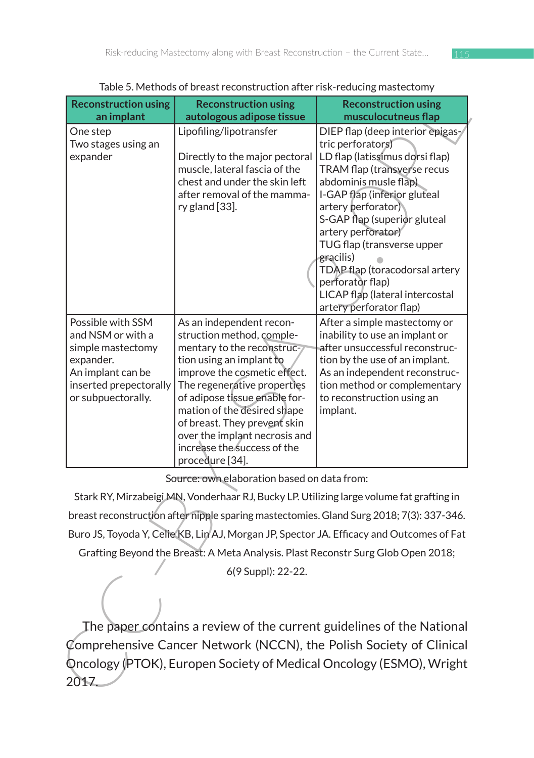| rable 5. Metrious of bi east reconstruction arter risk-requently mastectomy<br><b>Reconstruction using</b><br><b>Reconstruction using</b>                                            |                                                                                                                                                                                                                                                                                                                                                                   |                                                                                                                                                                                                                                                                                                                                                                                                                             |  |  |
|--------------------------------------------------------------------------------------------------------------------------------------------------------------------------------------|-------------------------------------------------------------------------------------------------------------------------------------------------------------------------------------------------------------------------------------------------------------------------------------------------------------------------------------------------------------------|-----------------------------------------------------------------------------------------------------------------------------------------------------------------------------------------------------------------------------------------------------------------------------------------------------------------------------------------------------------------------------------------------------------------------------|--|--|
| an implant                                                                                                                                                                           | autologous adipose tissue                                                                                                                                                                                                                                                                                                                                         | <b>Reconstruction using</b><br>musculocutneus flap                                                                                                                                                                                                                                                                                                                                                                          |  |  |
| One step<br>Two stages using an<br>expander                                                                                                                                          | Lipofiling/lipotransfer<br>Directly to the major pectoral<br>muscle, lateral fascia of the<br>chest and under the skin left<br>after removal of the mamma-<br>ry gland [33].                                                                                                                                                                                      | DIEP flap (deep interior epigas-<br>tric perforators)<br>LD flap (latissimus dorsi flap)<br>TRAM flap (transverse recus<br>abdominis musle flap)<br>I-GAP flap (inferior gluteal<br>artery perforator)<br>S-GAP flap (superior gluteal<br>artery perforator)<br>TUG flap (transverse upper<br>gracilis)<br>TDAP flap (toracodorsal artery<br>perforator flap)<br>LICAP flap (lateral intercostal<br>artery perforator flap) |  |  |
| Possible with SSM<br>and NSM or with a<br>simple mastectomy<br>expander.<br>An implant can be<br>inserted prepectorally<br>or subpuectorally.                                        | As an independent recon-<br>struction method, comple-<br>mentary to the reconstruc-<br>tion using an implant to<br>improve the cosmetic effect.<br>The regenerative properties<br>of adipose tissue enable for-<br>mation of the desired shape<br>of breast. They prevent skin<br>over the implant necrosis and<br>increase the success of the<br>procedure [34]. | After a simple mastectomy or<br>inability to use an implant or<br>after unsuccessful reconstruc-<br>tion by the use of an implant.<br>As an independent reconstruc-<br>tion method or complementary<br>to reconstruction using an<br>implant.                                                                                                                                                                               |  |  |
| Source: own elaboration based on data from:                                                                                                                                          |                                                                                                                                                                                                                                                                                                                                                                   |                                                                                                                                                                                                                                                                                                                                                                                                                             |  |  |
| Stark RY, Mirzabeigi MN, Vonderhaar RJ, Bucky LP. Utilizing large volume fat grafting in<br>breast reconstruction after nipple sparing mastectomies. Gland Surg 2018; 7(3): 337-346. |                                                                                                                                                                                                                                                                                                                                                                   |                                                                                                                                                                                                                                                                                                                                                                                                                             |  |  |
| Buro JS, Toyoda Y, Celie KB, Lin AJ, Morgan JP, Spector JA. Efficacy and Outcomes of Fat                                                                                             |                                                                                                                                                                                                                                                                                                                                                                   |                                                                                                                                                                                                                                                                                                                                                                                                                             |  |  |
| Grafting Beyond the Breast: A Meta Analysis. Plast Reconstr Surg Glob Open 2018;<br>6(9 Suppl): 22-22.                                                                               |                                                                                                                                                                                                                                                                                                                                                                   |                                                                                                                                                                                                                                                                                                                                                                                                                             |  |  |
| 2017.                                                                                                                                                                                |                                                                                                                                                                                                                                                                                                                                                                   | The paper contains a review of the current guidelines of the National<br>Comprehensive Cancer Network (NCCN), the Polish Society of Clinical<br>Oncology (PTOK), Europen Society of Medical Oncology (ESMO), Wright                                                                                                                                                                                                         |  |  |

Table 5. Methods of breast reconstruction after risk-reducing mastectomy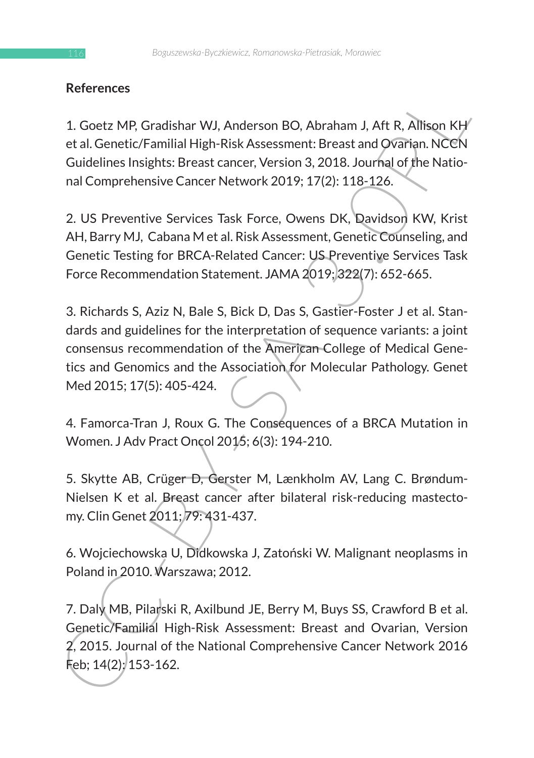# **References**

1. Goetz MP, Gradishar WJ, Anderson BO, Abraham J, Aft R, Allison KH et al. Genetic/Familial High-Risk Assessment: Breast and Ovarian. NCCN Guidelines Insights: Breast cancer, Version 3, 2018. Journal of the National Comprehensive Cancer Network 2019; 17(2): 118-126.

2. US Preventive Services Task Force, Owens DK, Davidson KW, Krist AH, Barry MJ, Cabana M et al. Risk Assessment, Genetic Counseling, and Genetic Testing for BRCA-Related Cancer: US Preventive Services Task Force Recommendation Statement. JAMA 2019; 322(7): 652-665.

References<br>
1. Goetz MP, Gradishar WJ, Anderson BO, Abraham J, Aft R, Allison KH<br>
etal. Centric/Familial High-Risk Assessment: Breast and Qoranian. NCCM<br>
Guidelines Insights: Breast cancer, Version 3. 2018. Journal of the 3. Richards S, Aziz N, Bale S, Bick D, Das S, Gastier-Foster J et al. Standards and guidelines for the interpretation of sequence variants: a joint consensus recommendation of the American College of Medical Genetics and Genomics and the Association for Molecular Pathology. Genet Med 2015; 17(5): 405-424.

4. Famorca-Tran J, Roux G. The Consequences of a BRCA Mutation in Women. J Adv Pract Oncol 2015; 6(3): 194-210.

5. Skytte AB, Crüger D, Gerster M, Lænkholm AV, Lang C. Brøndum-Nielsen K et al. Breast cancer after bilateral risk-reducing mastectomy. Clin Genet 2011; 79: 431-437.

6. Wojciechowska U, Didkowska J, Zatoński W. Malignant neoplasms in Poland in 2010. Warszawa; 2012.

7. Daly MB, Pilarski R, Axilbund JE, Berry M, Buys SS, Crawford B et al. Genetic/Familial High-Risk Assessment: Breast and Ovarian, Version 2, 2015. Journal of the National Comprehensive Cancer Network 2016 Feb; 14(2): 153-162.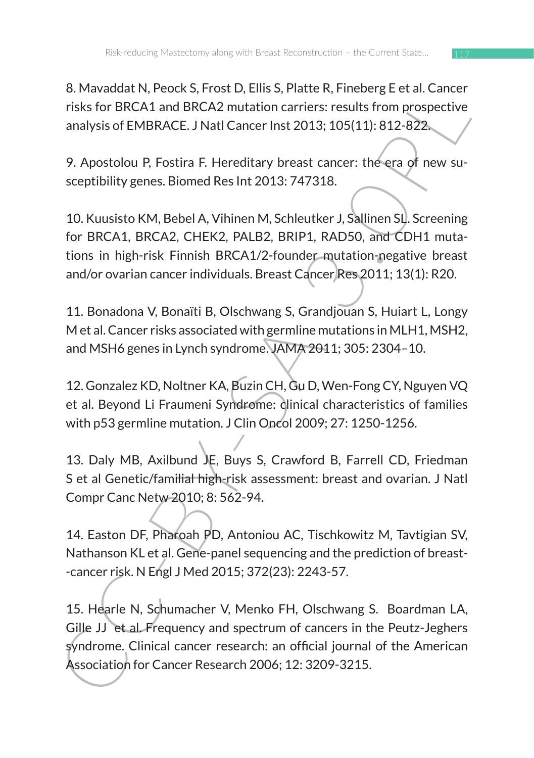8. Mavaddat N, Peock S, Frost D, Ellis S, Platte R, Fineberg E et al. Cancer risks for BRCA1 and BRCA2 mutation carriers: results from prospective analysis of EMBRACE. J Natl Cancer Inst 2013; 105(11): 812-822.

9. Apostolou P, Fostira F. Hereditary breast cancer: the era of new susceptibility genes. Biomed Res Int 2013: 747318.

o. Maxaduat N, Peots, S, rrost, O. Emis S, Prais R, Finelery, et al. Caller<br>
risks for BRCA1 and BRCA2 mutation carriers: results from prospective<br>
analysis of EMBRACE. J Natl Cancer Inst 2013; 105(11): 812-822.<br>
9. Aposto 10. Kuusisto KM, Bebel A, Vihinen M, Schleutker J, Sallinen SL. Screening for BRCA1, BRCA2, CHEK2, PALB2, BRIP1, RAD50, and CDH1 mutations in high-risk Finnish BRCA1/2-founder mutation-negative breast and/or ovarian cancer individuals. Breast Cancer Res 2011; 13(1): R20.

11. Bonadona V, Bonaïti B, Olschwang S, Grandjouan S, Huiart L, Longy M et al. Cancer risks associated with germline mutations in MLH1, MSH2, and MSH6 genes in Lynch syndrome. JAMA 2011; 305: 2304–10.

12. Gonzalez KD, Noltner KA, Buzin CH, Gu D, Wen-Fong CY, Nguyen VQ et al. Beyond Li Fraumeni Syndrome: clinical characteristics of families with p53 germline mutation. J Clin Oncol 2009; 27: 1250-1256.

13. Daly MB, Axilbund JE, Buys S, Crawford B, Farrell CD, Friedman S et al Genetic/familial high-risk assessment: breast and ovarian. J Natl Compr Canc Netw 2010; 8: 562-94.

14. Easton DF, Pharoah PD, Antoniou AC, Tischkowitz M, Tavtigian SV, Nathanson KL et al. Gene-panel sequencing and the prediction of breast- -cancer risk. N Engl J Med 2015; 372(23): 2243-57.

15. Hearle N, Schumacher V, Menko FH, Olschwang S. Boardman LA, Gille JJ et al. Frequency and spectrum of cancers in the Peutz-Jeghers syndrome. Clinical cancer research: an official journal of the American Association for Cancer Research 2006; 12: 3209-3215.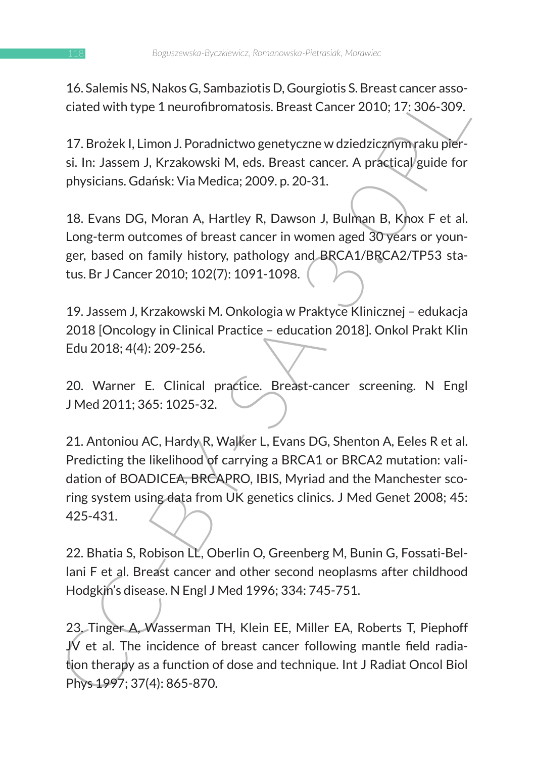16. Salemis NS, Nakos G, Sambaziotis D, Gourgiotis S. Breast cancer associated with type 1 neurofibromatosis. Breast Cancer 2010; 17: 306-309.

17. Brożek I, Limon J. Poradnictwo genetyczne w dziedzicznym raku piersi. In: Jassem J, Krzakowski M, eds. Breast cancer. A practical guide for physicians. Gdańsk: Via Medica; 2009. p. 20-31.

18. Evans DG, Moran A, Hartley R, Dawson J, Bulman B, Knox F et al. Long-term outcomes of breast cancer in women aged 30 years or younger, based on family history, pathology and BRCA1/BRCA2/TP53 status. Br J Cancer 2010; 102(7): 1091-1098.

19. Jassem J, Krzakowski M. Onkologia w Praktyce Klinicznej – edukacja 2018 [Oncology in Clinical Practice – education 2018]. Onkol Prakt Klin Edu 2018; 4(4): 209-256.

20. Warner E. Clinical practice. Breast-cancer screening. N Engl J Med 2011; 365: 1025-32.

10. Saierline Maykavois, Saimluzzlouis Us, suorigious S. Breast Cancer 2010; 17:306-309.<br>
Ciated with type 1 neurofibromatosis. Breast Cancer 2010; 17:306-309.<br>
17. Brożek I, Limon J. Poradnictwo genetyczne w dziedzicznym 21. Antoniou AC, Hardy R, Walker L, Evans DG, Shenton A, Eeles R et al. Predicting the likelihood of carrying a BRCA1 or BRCA2 mutation: validation of BOADICEA, BRCAPRO, IBIS, Myriad and the Manchester scoring system using data from UK genetics clinics. J Med Genet 2008; 45: 425-431.

22. Bhatia S, Robison LL, Oberlin O, Greenberg M, Bunin G, Fossati-Bellani F et al. Breast cancer and other second neoplasms after childhood Hodgkin's disease. N Engl J Med 1996; 334: 745-751.

23. Tinger A, Wasserman TH, Klein EE, Miller EA, Roberts T, Piephoff JV et al. The incidence of breast cancer following mantle field radiation therapy as a function of dose and technique. Int J Radiat Oncol Biol Phys 1997; 37(4): 865-870.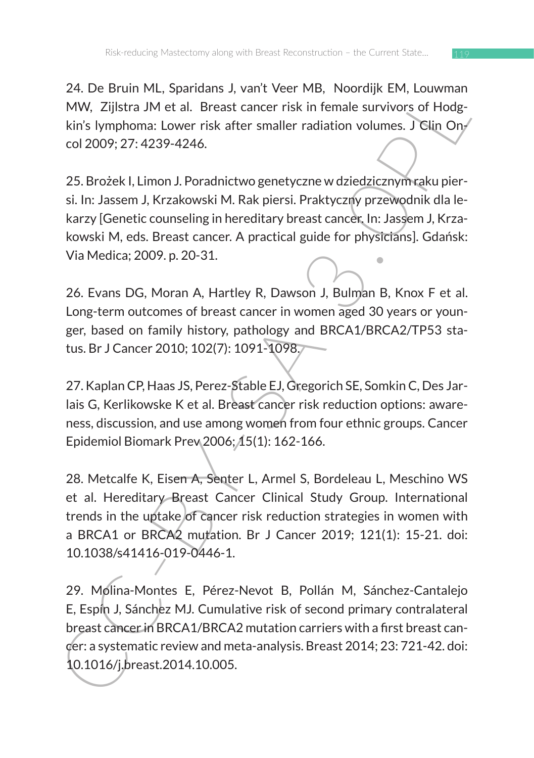24. De Bruin ML, Sparidans J, van't Veer MB, Noordijk EM, Louwman MW, Zijlstra JM et al. Breast cancer risk in female survivors of Hodgkin's lymphoma: Lower risk after smaller radiation volumes. J Clin Oncol 2009; 27: 4239-4246.

25. Brożek I, Limon J. Poradnictwo genetyczne w dziedzicznym raku piersi. In: Jassem J, Krzakowski M. Rak piersi. Praktyczny przewodnik dla lekarzy [Genetic counseling in hereditary breast cancer. In: Jassem J, Krzakowski M, eds. Breast cancer. A practical guide for physicians]. Gdańsk: Via Medica; 2009. p. 20-31.

26. Evans DG, Moran A, Hartley R, Dawson J, Bulman B, Knox F et al. Long-term outcomes of breast cancer in women aged 30 years or younger, based on family history, pathology and BRCA1/BRCA2/TP53 status. Br J Cancer 2010; 102(7): 1091-1098.

27. Kaplan CP, Haas JS, Perez-Stable EJ, Gregorich SE, Somkin C, Des Jarlais G, Kerlikowske K et al. Breast cancer risk reduction options: awareness, discussion, and use among women from four ethnic groups. Cancer Epidemiol Biomark Prev 2006; 15(1): 162-166.

2.4. De Brunt viut., Spantians 3, vanit veer wie, woonly eixt, concouse the MCN, Dijlstra JM et al. Breast cancer risk in female survivors of Hodg-<br>kin's lymphoma: Lower risk after smaller radiation volumes. TGlin Ony<br>col 28. Metcalfe K, Eisen A, Senter L, Armel S, Bordeleau L, Meschino WS et al. Hereditary Breast Cancer Clinical Study Group. International trends in the uptake of cancer risk reduction strategies in women with a BRCA1 or BRCA2 mutation. Br J Cancer 2019; 121(1): 15-21. doi: 10.1038/s41416-019-0446-1.

29. Molina-Montes E, Pérez-Nevot B, Pollán M, Sánchez-Cantalejo E, Espín J, Sánchez MJ. Cumulative risk of second primary contralateral breast cancer in BRCA1/BRCA2 mutation carriers with a first breast cancer: a systematic review and meta-analysis. Breast 2014; 23: 721-42. doi: 10.1016/j.breast.2014.10.005.